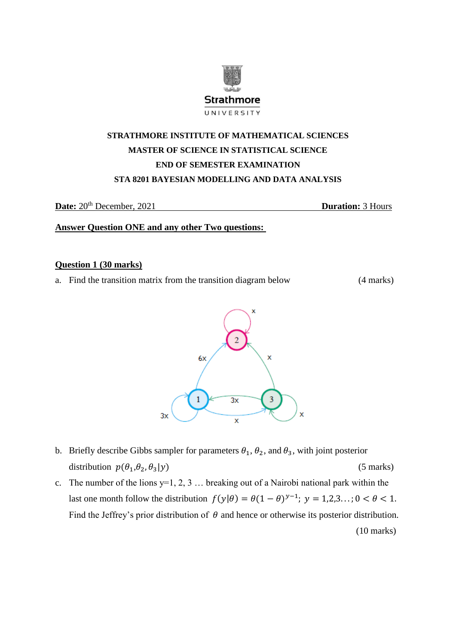

# **STRATHMORE INSTITUTE OF MATHEMATICAL SCIENCES MASTER OF SCIENCE IN STATISTICAL SCIENCE END OF SEMESTER EXAMINATION STA 8201 BAYESIAN MODELLING AND DATA ANALYSIS**

**Date:** 20th December, 2021 **Duration:** 3 Hours

**Answer Question ONE and any other Two questions:** 

#### **Question 1 (30 marks)**

a. Find the transition matrix from the transition diagram below (4 marks)



- b. Briefly describe Gibbs sampler for parameters  $\theta_1$ ,  $\theta_2$ , and  $\theta_3$ , with joint posterior distribution  $p(\theta_1, \theta_2, \theta_3|y)$  (5 marks)
- c. The number of the lions  $y=1, 2, 3, \ldots$  breaking out of a Nairobi national park within the last one month follow the distribution  $f(y|\theta) = \theta(1-\theta)^{y-1}$ ;  $y = 1,2,3...$ ;  $0 < \theta < 1$ . Find the Jeffrey's prior distribution of  $\theta$  and hence or otherwise its posterior distribution. (10 marks)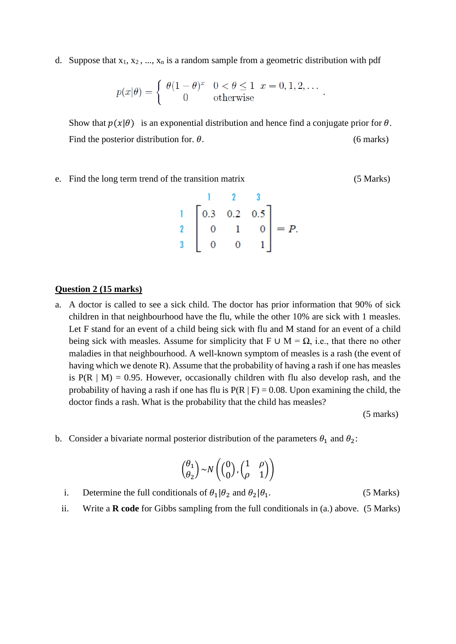d. Suppose that  $x_1, x_2, ..., x_n$  is a random sample from a geometric distribution with pdf

$$
p(x|\theta) = \begin{cases} \theta(1-\theta)^x & 0 < \theta \le 1 \ \ x = 0, 1, 2, \dots \\ 0 & \text{otherwise} \end{cases}
$$

Show that  $p(x|\theta)$  is an exponential distribution and hence find a conjugate prior for  $\theta$ . Find the posterior distribution for.  $\theta$ . (6 marks)

e. Find the long term trend of the transition matrix (5 Marks)

$$
\begin{bmatrix} 1 & 2 & 3 \\ 0.3 & 0.2 & 0.5 \\ 2 & 0 & 1 & 0 \\ 3 & 0 & 0 & 1 \end{bmatrix} = P.
$$

#### **Question 2 (15 marks)**

a. A doctor is called to see a sick child. The doctor has prior information that 90% of sick children in that neighbourhood have the flu, while the other 10% are sick with 1 measles. Let F stand for an event of a child being sick with flu and M stand for an event of a child being sick with measles. Assume for simplicity that F ∪ M =  $\Omega$ , i.e., that there no other maladies in that neighbourhood. A well-known symptom of measles is a rash (the event of having which we denote R). Assume that the probability of having a rash if one has measles is  $P(R \mid M) = 0.95$ . However, occasionally children with flu also develop rash, and the probability of having a rash if one has flu is  $P(R | F) = 0.08$ . Upon examining the child, the doctor finds a rash. What is the probability that the child has measles?

(5 marks)

b. Consider a bivariate normal posterior distribution of the parameters  $\theta_1$  and  $\theta_2$ :

$$
\binom{\theta_1}{\theta_2} \sim N\left(\binom{0}{0},\binom{1}{\rho} \quad \begin{matrix} \rho \\ 0 \end{matrix}\right)
$$

- i. Determine the full conditionals of  $\theta_1|\theta_2$  and  $\theta_2|\theta_1$ . (5 Marks)
- ii. Write a **R code** for Gibbs sampling from the full conditionals in (a.) above. (5 Marks)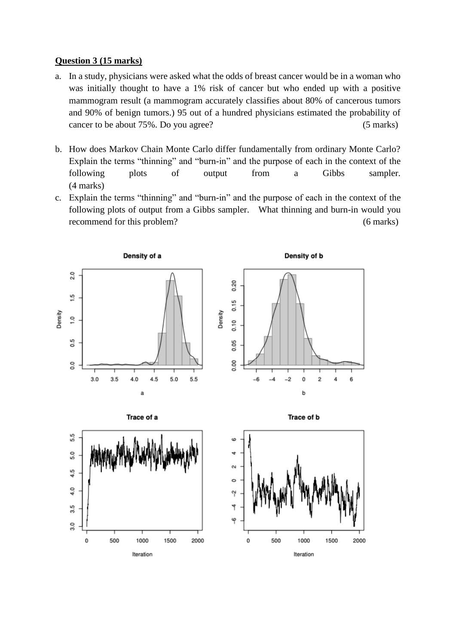### **Question 3 (15 marks)**

- a. In a study, physicians were asked what the odds of breast cancer would be in a woman who was initially thought to have a 1% risk of cancer but who ended up with a positive mammogram result (a mammogram accurately classifies about 80% of cancerous tumors and 90% of benign tumors.) 95 out of a hundred physicians estimated the probability of cancer to be about 75%. Do you agree? (5 marks)
- b. How does Markov Chain Monte Carlo differ fundamentally from ordinary Monte Carlo? Explain the terms "thinning" and "burn-in" and the purpose of each in the context of the following plots of output from a Gibbs sampler. (4 marks)
- c. Explain the terms "thinning" and "burn-in" and the purpose of each in the context of the following plots of output from a Gibbs sampler. What thinning and burn-in would you recommend for this problem? (6 marks)